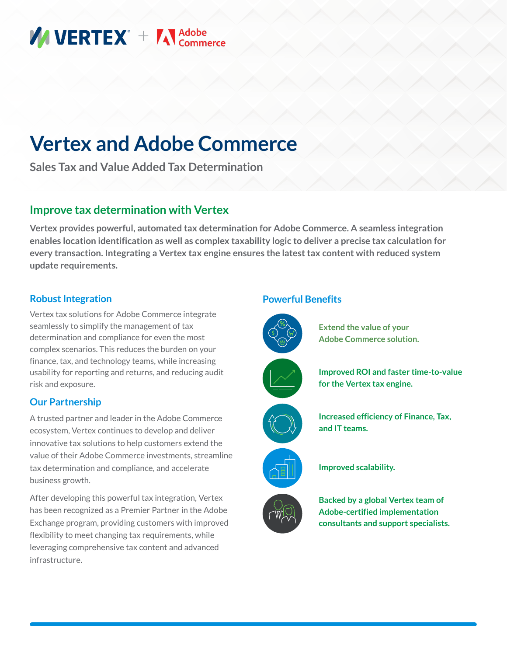# **MUERTEX** + Medobe

# **Vertex and Adobe Commerce**

**Sales Tax and Value Added Tax Determination**

## **Improve tax determination with Vertex**

**Vertex provides powerful, automated tax determination for Adobe Commerce. A seamless integration enables location identification as well as complex taxability logic to deliver a precise tax calculation for every transaction. Integrating a Vertex tax engine ensures the latest tax content with reduced system update requirements.**

#### **Robust Integration**

Vertex tax solutions for Adobe Commerce integrate seamlessly to simplify the management of tax determination and compliance for even the most complex scenarios. This reduces the burden on your finance, tax, and technology teams, while increasing usability for reporting and returns, and reducing audit risk and exposure.

#### **Our Partnership**

A trusted partner and leader in the Adobe Commerce ecosystem, Vertex continues to develop and deliver innovative tax solutions to help customers extend the value of their Adobe Commerce investments, streamline tax determination and compliance, and accelerate business growth.

After developing this powerful tax integration, Vertex has been recognized as a Premier Partner in the Adobe Exchange program, providing customers with improved flexibility to meet changing tax requirements, while leveraging comprehensive tax content and advanced infrastructure.

#### **Powerful Benefits**



**Extend the value of your Adobe Commerce solution.**













**Improved scalability.**

**Backed by a global Vertex team of Adobe-certified implementation consultants and support specialists.**